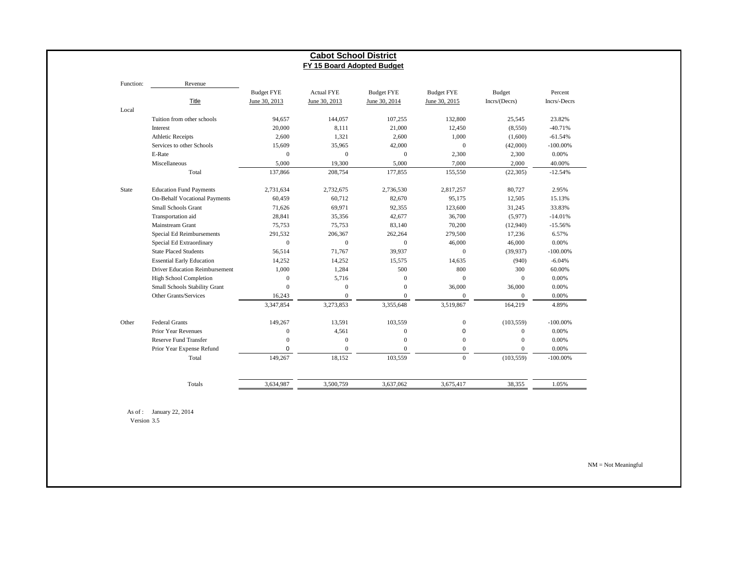|              |                                      |                   | <b>Cabot School District</b><br>FY 15 Board Adopted Budget |                   |                   |                  |              |
|--------------|--------------------------------------|-------------------|------------------------------------------------------------|-------------------|-------------------|------------------|--------------|
|              |                                      |                   |                                                            |                   |                   |                  |              |
| Function:    | Revenue                              |                   |                                                            |                   |                   |                  |              |
|              |                                      | <b>Budget FYE</b> | <b>Actual FYE</b>                                          | <b>Budget FYE</b> | <b>Budget FYE</b> | <b>Budget</b>    | Percent      |
|              | <b>Title</b>                         | June 30, 2013     | June 30, 2013                                              | June 30, 2014     | June 30, 2015     | Incrs/(Decrs)    | Incrs/-Decrs |
| Local        |                                      |                   |                                                            |                   |                   |                  |              |
|              | Tuition from other schools           | 94,657            | 144,057                                                    | 107,255           | 132,800           | 25,545           | 23.82%       |
|              | Interest                             | 20,000            | 8,111                                                      | 21,000            | 12,450            | (8,550)          | $-40.71%$    |
|              | <b>Athletic Receipts</b>             | 2,600             | 1,321                                                      | 2,600             | 1,000             | (1,600)          | $-61.54%$    |
|              | Services to other Schools            | 15,609            | 35,965                                                     | 42,000            | $\boldsymbol{0}$  | (42,000)         | $-100.00\%$  |
|              | E-Rate                               | $\mathbf{0}$      | $\mathbf{0}$                                               | $\mathbf{0}$      | 2,300             | 2,300            | 0.00%        |
|              | Miscellaneous                        | 5,000             | 19,300                                                     | 5,000             | 7,000             | 2,000            | 40.00%       |
|              | Total                                | 137,866           | 208,754                                                    | 177,855           | 155,550           | (22, 305)        | $-12.54%$    |
| <b>State</b> | <b>Education Fund Payments</b>       | 2,731,634         | 2,732,675                                                  | 2,736,530         | 2,817,257         | 80,727           | 2.95%        |
|              | <b>On-Behalf Vocational Payments</b> | 60,459            | 60,712                                                     | 82,670            | 95,175            | 12,505           | 15.13%       |
|              | Small Schools Grant                  | 71,626            | 69,971                                                     | 92,355            | 123,600           | 31,245           | 33.83%       |
|              | Transportation aid                   | 28,841            | 35,356                                                     | 42,677            | 36,700            | (5,977)          | $-14.01%$    |
|              | Mainstream Grant                     | 75,753            | 75,753                                                     | 83,140            | 70,200            | (12,940)         | $-15.56%$    |
|              | Special Ed Reimbursements            | 291,532           | 206,367                                                    | 262,264           | 279,500           | 17,236           | 6.57%        |
|              | Special Ed Extraordinary             | $\mathbf{0}$      | $\boldsymbol{0}$                                           | $\mathbf{0}$      | 46,000            | 46,000           | 0.00%        |
|              | <b>State Placed Students</b>         | 56,514            | 71,767                                                     | 39,937            | $\overline{0}$    | (39,937)         | $-100.00\%$  |
|              | <b>Essential Early Education</b>     | 14,252            | 14,252                                                     | 15,575            | 14,635            | (940)            | $-6.04%$     |
|              | Driver Education Reimbursement       | 1,000             | 1,284                                                      | 500               | 800               | 300              | 60.00%       |
|              | <b>High School Completion</b>        | $\overline{0}$    | 5,716                                                      | $\mathbf{0}$      | $\mathbf{0}$      | $\mathbf{0}$     | 0.00%        |
|              | Small Schools Stability Grant        | $\Omega$          | $\mathbf{0}$                                               | $\mathbf{0}$      | 36,000            | 36,000           | 0.00%        |
|              | Other Grants/Services                | 16,243            | $\mathbf{0}$                                               | $\mathbf{0}$      | $\mathbf{0}$      | $\mathbf{0}$     | 0.00%        |
|              |                                      | 3,347,854         | 3,273,853                                                  | 3,355,648         | 3,519,867         | 164,219          | 4.89%        |
| Other        | Federal Grants                       | 149,267           | 13,591                                                     | 103,559           | $\boldsymbol{0}$  | (103, 559)       | $-100.00\%$  |
|              | <b>Prior Year Revenues</b>           | $\mathbf{0}$      | 4,561                                                      | $\boldsymbol{0}$  | 0                 | $\mathbf{0}$     | 0.00%        |
|              | <b>Reserve Fund Transfer</b>         | $\overline{0}$    | $\mathbf{0}$                                               | $\overline{0}$    | $\mathbf{0}$      | $\boldsymbol{0}$ | 0.00%        |
|              | Prior Year Expense Refund            | $\mathbf 0$       | $\mathbf{0}$                                               | $\mathbf{0}$      | $\overline{0}$    | $\overline{0}$   | 0.00%        |
|              | Total                                | 149,267           | 18,152                                                     | 103,559           | $\Omega$          | (103, 559)       | $-100.00\%$  |
|              |                                      |                   |                                                            |                   |                   |                  |              |
|              | Totals                               | 3,634,987         | 3,500,759                                                  | 3,637,062         | 3,675,417         | 38,355           | 1.05%        |

Version 3.5

NM = Not Meaningful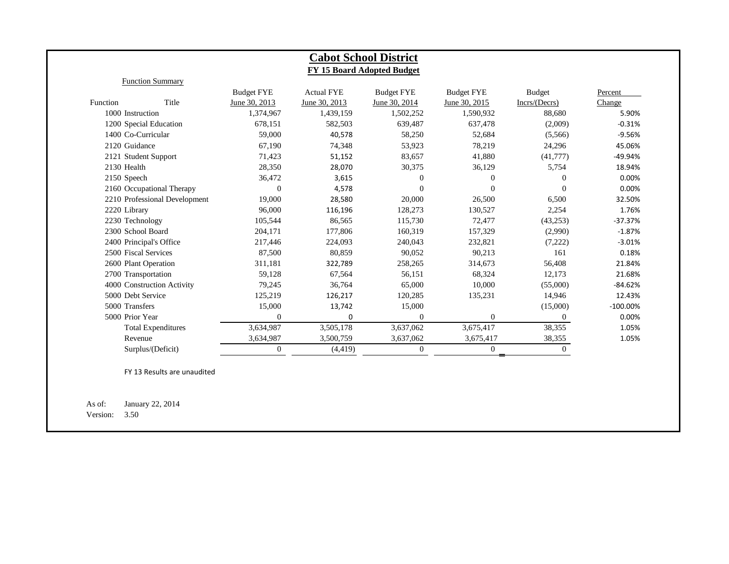|                      |                               |                   |                   | <b>Cabot School District</b> |                   |                |             |
|----------------------|-------------------------------|-------------------|-------------------|------------------------------|-------------------|----------------|-------------|
|                      |                               |                   |                   | FY 15 Board Adopted Budget   |                   |                |             |
|                      | <b>Function Summary</b>       |                   |                   |                              |                   |                |             |
|                      |                               | <b>Budget FYE</b> | <b>Actual FYE</b> | <b>Budget FYE</b>            | <b>Budget FYE</b> | <b>Budget</b>  | Percent     |
| <b>Function</b>      | Title                         | June 30, 2013     | June 30, 2013     | June 30, 2014                | June 30, 2015     | Incrs/ (Decrs) | Change      |
| 1000 Instruction     |                               | 1,374,967         | 1,439,159         | 1,502,252                    | 1,590,932         | 88,680         | 5.90%       |
|                      | 1200 Special Education        | 678,151           | 582,503           | 639,487                      | 637,478           | (2,009)        | $-0.31%$    |
| 1400 Co-Curricular   |                               | 59,000            | 40,578            | 58,250                       | 52,684            | (5,566)        | $-9.56%$    |
| 2120 Guidance        |                               | 67.190            | 74,348            | 53,923                       | 78,219            | 24,296         | 45.06%      |
|                      | 2121 Student Support          | 71,423            | 51,152            | 83,657                       | 41,880            | (41,777)       | $-49.94%$   |
| 2130 Health          |                               | 28,350            | 28,070            | 30,375                       | 36,129            | 5,754          | 18.94%      |
| 2150 Speech          |                               | 36,472            | 3,615             | $\mathbf{0}$                 | $\Omega$          | $\Omega$       | 0.00%       |
|                      | 2160 Occupational Therapy     | $\theta$          | 4,578             | $\mathbf{0}$                 | $\Omega$          | $\Omega$       | 0.00%       |
|                      | 2210 Professional Development | 19,000            | 28,580            | 20,000                       | 26,500            | 6,500          | 32.50%      |
| 2220 Library         |                               | 96,000            | 116,196           | 128,273                      | 130,527           | 2,254          | 1.76%       |
| 2230 Technology      |                               | 105,544           | 86,565            | 115,730                      | 72,477            | (43,253)       | $-37.37%$   |
| 2300 School Board    |                               | 204,171           | 177,806           | 160,319                      | 157,329           | (2,990)        | $-1.87%$    |
|                      | 2400 Principal's Office       | 217,446           | 224,093           | 240,043                      | 232,821           | (7,222)        | $-3.01%$    |
| 2500 Fiscal Services |                               | 87,500            | 80,859            | 90,052                       | 90,213            | 161            | 0.18%       |
| 2600 Plant Operation |                               | 311,181           | 322,789           | 258,265                      | 314,673           | 56,408         | 21.84%      |
| 2700 Transportation  |                               | 59,128            | 67,564            | 56,151                       | 68,324            | 12,173         | 21.68%      |
|                      | 4000 Construction Activity    | 79,245            | 36,764            | 65,000                       | 10,000            | (55,000)       | $-84.62%$   |
| 5000 Debt Service    |                               | 125,219           | 126,217           | 120,285                      | 135,231           | 14,946         | 12.43%      |
| 5000 Transfers       |                               | 15,000            | 13,742            | 15,000                       |                   | (15,000)       | $-100.00\%$ |
| 5000 Prior Year      |                               | $\overline{0}$    | $\Omega$          | $\mathbf{0}$                 | $\overline{0}$    | $\overline{0}$ | 0.00%       |
|                      | <b>Total Expenditures</b>     | 3,634,987         | 3,505,178         | 3,637,062                    | 3,675,417         | 38,355         | 1.05%       |
| Revenue              |                               | 3,634,987         | 3,500,759         | 3,637,062                    | 3,675,417         | 38,355         | 1.05%       |
|                      | Surplus/(Deficit)             | $\overline{0}$    | (4, 419)          | $\mathbf{0}$                 | $\overline{0}$    | $\overline{0}$ |             |

FY 13 Results are unaudited

As of: January 22, 2014 Version: 3.50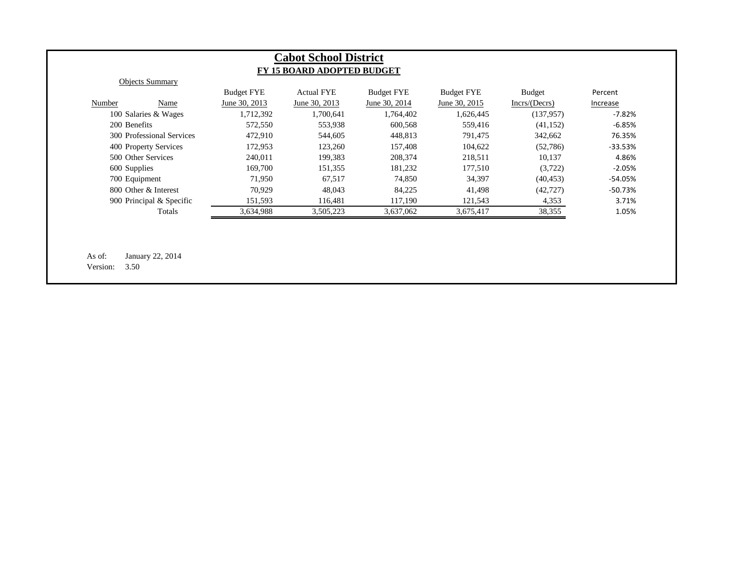|                           | <b>Budget FYE</b> | <b>Actual FYE</b> | <b>Budget FYE</b> | <b>Budget FYE</b> | <b>Budget</b> | Percent         |
|---------------------------|-------------------|-------------------|-------------------|-------------------|---------------|-----------------|
| Number<br>Name            | June 30, 2013     | June 30, 2013     | June 30, 2014     | June 30, 2015     | Incrs/(Decrs) | <b>Increase</b> |
| 100 Salaries & Wages      | 1,712,392         | 1,700,641         | 1,764,402         | 1,626,445         | (137, 957)    | $-7.82%$        |
| 200 Benefits              | 572,550           | 553,938           | 600,568           | 559,416           | (41, 152)     | $-6.85%$        |
| 300 Professional Services | 472,910           | 544,605           | 448,813           | 791,475           | 342,662       | 76.35%          |
| 400 Property Services     | 172,953           | 123,260           | 157,408           | 104,622           | (52,786)      | -33.53%         |
| 500 Other Services        | 240,011           | 199,383           | 208,374           | 218,511           | 10,137        | 4.86%           |
| 600 Supplies              | 169,700           | 151,355           | 181,232           | 177,510           | (3,722)       | $-2.05%$        |
| 700 Equipment             | 71,950            | 67,517            | 74,850            | 34,397            | (40, 453)     | -54.05%         |
| 800 Other & Interest      | 70,929            | 48,043            | 84,225            | 41,498            | (42, 727)     | -50.73%         |
| 900 Principal & Specific  | 151,593           | 116,481           | 117,190           | 121,543           | 4,353         | 3.71%           |
| Totals                    | 3,634,988         | 3,505,223         | 3,637,062         | 3,675,417         | 38,355        | 1.05%           |
|                           |                   |                   |                   |                   |               |                 |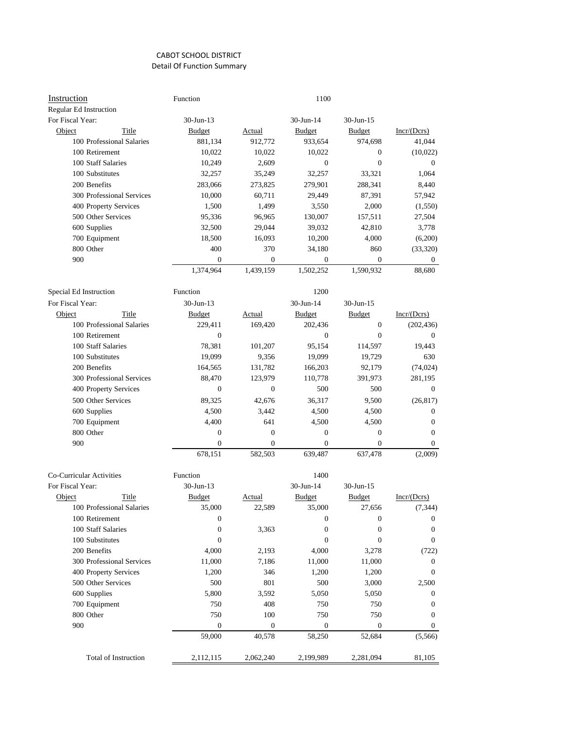| Regular Ed Instruction<br>$30 - Jun - 13$<br>30-Jun-14<br>30-Jun-15<br>Incr/(Dcrs)<br>Object<br>Title<br><b>Budget</b><br>Budget<br>Budget<br><b>Actual</b><br>100 Professional Salaries<br>881,134<br>912,772<br>933,654<br>974,698<br>41,044<br>100 Retirement<br>10,022<br>10,022<br>10,022<br>$\mathbf{0}$<br>(10,022)<br>100 Staff Salaries<br>2,609<br>$\overline{0}$<br>10,249<br>$\mathbf{0}$<br>$\mathbf{0}$<br>100 Substitutes<br>32,257<br>33,321<br>32,257<br>35,249<br>1,064<br>200 Benefits<br>283,066<br>273,825<br>279,901<br>288,341<br>8,440<br>300 Professional Services<br>10,000<br>60,711<br>29,449<br>87,391<br>57,942<br>400 Property Services<br>1,499<br>2,000<br>1,500<br>3,550<br>(1,550)<br>500 Other Services<br>95,336<br>96,965<br>130,007<br>157,511<br>27,504<br>600 Supplies<br>32,500<br>29,044<br>39,032<br>42,810<br>3,778<br>700 Equipment<br>18,500<br>16,093<br>10,200<br>4,000<br>(6,200)<br>800 Other<br>400<br>370<br>(33, 320)<br>34,180<br>860<br>900<br>$\mathbf{0}$<br>0<br>$\mathbf{0}$<br>$\mathbf{0}$<br>$\mathbf{0}$<br>1,374,964<br>1,439,159<br>1,502,252<br>1,590,932<br>88,680<br>Special Ed Instruction<br>Function<br>1200<br>For Fiscal Year:<br>$30$ -Jun-13<br>30-Jun-14<br>$30$ -Jun-15<br>Title<br><b>Budget</b><br>$Incr/(\mathbf{Dcrs})$<br><b>Object</b><br><b>Budget</b><br>Actual<br><b>Budget</b><br>100 Professional Salaries<br>229,411<br>202,436<br>$\mathbf{0}$<br>(202, 436)<br>169,420<br>100 Retirement<br>$\mathbf{0}$<br>$\mathbf{0}$<br>$\mathbf{0}$<br>$\mathbf{0}$<br>100 Staff Salaries<br>78,381<br>95,154<br>101,207<br>114,597<br>19,443<br>9,356<br>19,099<br>100 Substitutes<br>19,099<br>19,729<br>630<br>200 Benefits<br>131,782<br>164,565<br>166,203<br>92,179<br>(74, 024)<br>300 Professional Services<br>88,470<br>123,979<br>110,778<br>391,973<br>281,195<br>400 Property Services<br>$\mathbf{0}$<br>$\mathbf{0}$<br>500<br>500<br>$\mathbf{0}$<br>500 Other Services<br>89,325<br>42,676<br>36,317<br>9,500<br>(26, 817)<br>600 Supplies<br>4,500<br>4,500<br>4,500<br>3,442<br>$\mathbf{0}$<br>700 Equipment<br>641<br>4,400<br>4,500<br>4,500<br>$\mathbf{0}$<br>800 Other<br>$\boldsymbol{0}$<br>$\boldsymbol{0}$<br>$\mathbf{0}$<br>$\mathbf{0}$<br>$\mathbf{0}$<br>900<br>$\boldsymbol{0}$<br>0<br>$\boldsymbol{0}$<br>$\boldsymbol{0}$<br>$\overline{0}$<br>678,151<br>639,487<br>582,503<br>637,478<br>(2,009)<br>Co-Curricular Activities<br>Function<br>1400<br>30-Jun-13<br>30-Jun-14<br>30-Jun-15<br>Object<br>Title<br><b>Budget</b><br>Incr/(Dcrs)<br><b>Budget</b><br><b>Budget</b><br>Actual<br>22,589<br>35,000<br>27,656<br>100 Professional Salaries<br>35,000<br>(7, 344)<br>100 Retirement<br>$\mathbf{0}$<br>$\mathbf{0}$<br>$\boldsymbol{0}$<br>$\mathbf{0}$<br>100 Staff Salaries<br>$\mathbf{0}$<br>3,363<br>$\mathbf{0}$<br>$\mathbf{0}$<br>$\mathbf{0}$<br>100 Substitutes<br>$\mathbf{0}$<br>$\mathbf{0}$<br>$\boldsymbol{0}$<br>$\mathbf{0}$<br>200 Benefits<br>4,000<br>2,193<br>4,000<br>3,278<br>(722)<br>300 Professional Services<br>11,000<br>11,000<br>7,186<br>11,000<br>$\mathbf{0}$<br>400 Property Services<br>1,200<br>346<br>1,200<br>1,200<br>$\mathbf{0}$<br>801<br>500 Other Services<br>500<br>500<br>3,000<br>2,500<br>600 Supplies<br>5,800<br>3,592<br>5,050<br>5,050<br>$\mathbf{0}$<br>750<br>408<br>700 Equipment<br>750<br>750<br>$\mathbf{0}$<br>800 Other<br>750<br>100<br>750<br>750<br>$\mathbf{0}$<br>900<br>$\boldsymbol{0}$<br>$\boldsymbol{0}$<br>$\boldsymbol{0}$<br>$\boldsymbol{0}$<br>$\mathbf{0}$<br>59,000<br>40,578<br>58,250<br>52,684<br>(5,566)<br>Total of Instruction | Instruction      | Function  |           | 1100      |           |        |
|--------------------------------------------------------------------------------------------------------------------------------------------------------------------------------------------------------------------------------------------------------------------------------------------------------------------------------------------------------------------------------------------------------------------------------------------------------------------------------------------------------------------------------------------------------------------------------------------------------------------------------------------------------------------------------------------------------------------------------------------------------------------------------------------------------------------------------------------------------------------------------------------------------------------------------------------------------------------------------------------------------------------------------------------------------------------------------------------------------------------------------------------------------------------------------------------------------------------------------------------------------------------------------------------------------------------------------------------------------------------------------------------------------------------------------------------------------------------------------------------------------------------------------------------------------------------------------------------------------------------------------------------------------------------------------------------------------------------------------------------------------------------------------------------------------------------------------------------------------------------------------------------------------------------------------------------------------------------------------------------------------------------------------------------------------------------------------------------------------------------------------------------------------------------------------------------------------------------------------------------------------------------------------------------------------------------------------------------------------------------------------------------------------------------------------------------------------------------------------------------------------------------------------------------------------------------------------------------------------------------------------------------------------------------------------------------------------------------------------------------------------------------------------------------------------------------------------------------------------------------------------------------------------------------------------------------------------------------------------------------------------------------------------------------------------------------------------------------------------------------------------------------------------------------------------------------------------------------------------------------------------------------------------------------------------------------------------------------------------------------------------------------------------------------------------------------------------------------------------------------------------------------------------------------------------------------------------------------------------------------------------------------------|------------------|-----------|-----------|-----------|-----------|--------|
|                                                                                                                                                                                                                                                                                                                                                                                                                                                                                                                                                                                                                                                                                                                                                                                                                                                                                                                                                                                                                                                                                                                                                                                                                                                                                                                                                                                                                                                                                                                                                                                                                                                                                                                                                                                                                                                                                                                                                                                                                                                                                                                                                                                                                                                                                                                                                                                                                                                                                                                                                                                                                                                                                                                                                                                                                                                                                                                                                                                                                                                                                                                                                                                                                                                                                                                                                                                                                                                                                                                                                                                                                                                  |                  |           |           |           |           |        |
|                                                                                                                                                                                                                                                                                                                                                                                                                                                                                                                                                                                                                                                                                                                                                                                                                                                                                                                                                                                                                                                                                                                                                                                                                                                                                                                                                                                                                                                                                                                                                                                                                                                                                                                                                                                                                                                                                                                                                                                                                                                                                                                                                                                                                                                                                                                                                                                                                                                                                                                                                                                                                                                                                                                                                                                                                                                                                                                                                                                                                                                                                                                                                                                                                                                                                                                                                                                                                                                                                                                                                                                                                                                  | For Fiscal Year: |           |           |           |           |        |
|                                                                                                                                                                                                                                                                                                                                                                                                                                                                                                                                                                                                                                                                                                                                                                                                                                                                                                                                                                                                                                                                                                                                                                                                                                                                                                                                                                                                                                                                                                                                                                                                                                                                                                                                                                                                                                                                                                                                                                                                                                                                                                                                                                                                                                                                                                                                                                                                                                                                                                                                                                                                                                                                                                                                                                                                                                                                                                                                                                                                                                                                                                                                                                                                                                                                                                                                                                                                                                                                                                                                                                                                                                                  |                  |           |           |           |           |        |
|                                                                                                                                                                                                                                                                                                                                                                                                                                                                                                                                                                                                                                                                                                                                                                                                                                                                                                                                                                                                                                                                                                                                                                                                                                                                                                                                                                                                                                                                                                                                                                                                                                                                                                                                                                                                                                                                                                                                                                                                                                                                                                                                                                                                                                                                                                                                                                                                                                                                                                                                                                                                                                                                                                                                                                                                                                                                                                                                                                                                                                                                                                                                                                                                                                                                                                                                                                                                                                                                                                                                                                                                                                                  |                  |           |           |           |           |        |
|                                                                                                                                                                                                                                                                                                                                                                                                                                                                                                                                                                                                                                                                                                                                                                                                                                                                                                                                                                                                                                                                                                                                                                                                                                                                                                                                                                                                                                                                                                                                                                                                                                                                                                                                                                                                                                                                                                                                                                                                                                                                                                                                                                                                                                                                                                                                                                                                                                                                                                                                                                                                                                                                                                                                                                                                                                                                                                                                                                                                                                                                                                                                                                                                                                                                                                                                                                                                                                                                                                                                                                                                                                                  |                  |           |           |           |           |        |
|                                                                                                                                                                                                                                                                                                                                                                                                                                                                                                                                                                                                                                                                                                                                                                                                                                                                                                                                                                                                                                                                                                                                                                                                                                                                                                                                                                                                                                                                                                                                                                                                                                                                                                                                                                                                                                                                                                                                                                                                                                                                                                                                                                                                                                                                                                                                                                                                                                                                                                                                                                                                                                                                                                                                                                                                                                                                                                                                                                                                                                                                                                                                                                                                                                                                                                                                                                                                                                                                                                                                                                                                                                                  |                  |           |           |           |           |        |
|                                                                                                                                                                                                                                                                                                                                                                                                                                                                                                                                                                                                                                                                                                                                                                                                                                                                                                                                                                                                                                                                                                                                                                                                                                                                                                                                                                                                                                                                                                                                                                                                                                                                                                                                                                                                                                                                                                                                                                                                                                                                                                                                                                                                                                                                                                                                                                                                                                                                                                                                                                                                                                                                                                                                                                                                                                                                                                                                                                                                                                                                                                                                                                                                                                                                                                                                                                                                                                                                                                                                                                                                                                                  |                  |           |           |           |           |        |
|                                                                                                                                                                                                                                                                                                                                                                                                                                                                                                                                                                                                                                                                                                                                                                                                                                                                                                                                                                                                                                                                                                                                                                                                                                                                                                                                                                                                                                                                                                                                                                                                                                                                                                                                                                                                                                                                                                                                                                                                                                                                                                                                                                                                                                                                                                                                                                                                                                                                                                                                                                                                                                                                                                                                                                                                                                                                                                                                                                                                                                                                                                                                                                                                                                                                                                                                                                                                                                                                                                                                                                                                                                                  |                  |           |           |           |           |        |
|                                                                                                                                                                                                                                                                                                                                                                                                                                                                                                                                                                                                                                                                                                                                                                                                                                                                                                                                                                                                                                                                                                                                                                                                                                                                                                                                                                                                                                                                                                                                                                                                                                                                                                                                                                                                                                                                                                                                                                                                                                                                                                                                                                                                                                                                                                                                                                                                                                                                                                                                                                                                                                                                                                                                                                                                                                                                                                                                                                                                                                                                                                                                                                                                                                                                                                                                                                                                                                                                                                                                                                                                                                                  |                  |           |           |           |           |        |
|                                                                                                                                                                                                                                                                                                                                                                                                                                                                                                                                                                                                                                                                                                                                                                                                                                                                                                                                                                                                                                                                                                                                                                                                                                                                                                                                                                                                                                                                                                                                                                                                                                                                                                                                                                                                                                                                                                                                                                                                                                                                                                                                                                                                                                                                                                                                                                                                                                                                                                                                                                                                                                                                                                                                                                                                                                                                                                                                                                                                                                                                                                                                                                                                                                                                                                                                                                                                                                                                                                                                                                                                                                                  |                  |           |           |           |           |        |
|                                                                                                                                                                                                                                                                                                                                                                                                                                                                                                                                                                                                                                                                                                                                                                                                                                                                                                                                                                                                                                                                                                                                                                                                                                                                                                                                                                                                                                                                                                                                                                                                                                                                                                                                                                                                                                                                                                                                                                                                                                                                                                                                                                                                                                                                                                                                                                                                                                                                                                                                                                                                                                                                                                                                                                                                                                                                                                                                                                                                                                                                                                                                                                                                                                                                                                                                                                                                                                                                                                                                                                                                                                                  |                  |           |           |           |           |        |
|                                                                                                                                                                                                                                                                                                                                                                                                                                                                                                                                                                                                                                                                                                                                                                                                                                                                                                                                                                                                                                                                                                                                                                                                                                                                                                                                                                                                                                                                                                                                                                                                                                                                                                                                                                                                                                                                                                                                                                                                                                                                                                                                                                                                                                                                                                                                                                                                                                                                                                                                                                                                                                                                                                                                                                                                                                                                                                                                                                                                                                                                                                                                                                                                                                                                                                                                                                                                                                                                                                                                                                                                                                                  |                  |           |           |           |           |        |
|                                                                                                                                                                                                                                                                                                                                                                                                                                                                                                                                                                                                                                                                                                                                                                                                                                                                                                                                                                                                                                                                                                                                                                                                                                                                                                                                                                                                                                                                                                                                                                                                                                                                                                                                                                                                                                                                                                                                                                                                                                                                                                                                                                                                                                                                                                                                                                                                                                                                                                                                                                                                                                                                                                                                                                                                                                                                                                                                                                                                                                                                                                                                                                                                                                                                                                                                                                                                                                                                                                                                                                                                                                                  |                  |           |           |           |           |        |
|                                                                                                                                                                                                                                                                                                                                                                                                                                                                                                                                                                                                                                                                                                                                                                                                                                                                                                                                                                                                                                                                                                                                                                                                                                                                                                                                                                                                                                                                                                                                                                                                                                                                                                                                                                                                                                                                                                                                                                                                                                                                                                                                                                                                                                                                                                                                                                                                                                                                                                                                                                                                                                                                                                                                                                                                                                                                                                                                                                                                                                                                                                                                                                                                                                                                                                                                                                                                                                                                                                                                                                                                                                                  |                  |           |           |           |           |        |
|                                                                                                                                                                                                                                                                                                                                                                                                                                                                                                                                                                                                                                                                                                                                                                                                                                                                                                                                                                                                                                                                                                                                                                                                                                                                                                                                                                                                                                                                                                                                                                                                                                                                                                                                                                                                                                                                                                                                                                                                                                                                                                                                                                                                                                                                                                                                                                                                                                                                                                                                                                                                                                                                                                                                                                                                                                                                                                                                                                                                                                                                                                                                                                                                                                                                                                                                                                                                                                                                                                                                                                                                                                                  |                  |           |           |           |           |        |
|                                                                                                                                                                                                                                                                                                                                                                                                                                                                                                                                                                                                                                                                                                                                                                                                                                                                                                                                                                                                                                                                                                                                                                                                                                                                                                                                                                                                                                                                                                                                                                                                                                                                                                                                                                                                                                                                                                                                                                                                                                                                                                                                                                                                                                                                                                                                                                                                                                                                                                                                                                                                                                                                                                                                                                                                                                                                                                                                                                                                                                                                                                                                                                                                                                                                                                                                                                                                                                                                                                                                                                                                                                                  |                  |           |           |           |           |        |
|                                                                                                                                                                                                                                                                                                                                                                                                                                                                                                                                                                                                                                                                                                                                                                                                                                                                                                                                                                                                                                                                                                                                                                                                                                                                                                                                                                                                                                                                                                                                                                                                                                                                                                                                                                                                                                                                                                                                                                                                                                                                                                                                                                                                                                                                                                                                                                                                                                                                                                                                                                                                                                                                                                                                                                                                                                                                                                                                                                                                                                                                                                                                                                                                                                                                                                                                                                                                                                                                                                                                                                                                                                                  |                  |           |           |           |           |        |
|                                                                                                                                                                                                                                                                                                                                                                                                                                                                                                                                                                                                                                                                                                                                                                                                                                                                                                                                                                                                                                                                                                                                                                                                                                                                                                                                                                                                                                                                                                                                                                                                                                                                                                                                                                                                                                                                                                                                                                                                                                                                                                                                                                                                                                                                                                                                                                                                                                                                                                                                                                                                                                                                                                                                                                                                                                                                                                                                                                                                                                                                                                                                                                                                                                                                                                                                                                                                                                                                                                                                                                                                                                                  |                  |           |           |           |           |        |
|                                                                                                                                                                                                                                                                                                                                                                                                                                                                                                                                                                                                                                                                                                                                                                                                                                                                                                                                                                                                                                                                                                                                                                                                                                                                                                                                                                                                                                                                                                                                                                                                                                                                                                                                                                                                                                                                                                                                                                                                                                                                                                                                                                                                                                                                                                                                                                                                                                                                                                                                                                                                                                                                                                                                                                                                                                                                                                                                                                                                                                                                                                                                                                                                                                                                                                                                                                                                                                                                                                                                                                                                                                                  |                  |           |           |           |           |        |
|                                                                                                                                                                                                                                                                                                                                                                                                                                                                                                                                                                                                                                                                                                                                                                                                                                                                                                                                                                                                                                                                                                                                                                                                                                                                                                                                                                                                                                                                                                                                                                                                                                                                                                                                                                                                                                                                                                                                                                                                                                                                                                                                                                                                                                                                                                                                                                                                                                                                                                                                                                                                                                                                                                                                                                                                                                                                                                                                                                                                                                                                                                                                                                                                                                                                                                                                                                                                                                                                                                                                                                                                                                                  |                  |           |           |           |           |        |
|                                                                                                                                                                                                                                                                                                                                                                                                                                                                                                                                                                                                                                                                                                                                                                                                                                                                                                                                                                                                                                                                                                                                                                                                                                                                                                                                                                                                                                                                                                                                                                                                                                                                                                                                                                                                                                                                                                                                                                                                                                                                                                                                                                                                                                                                                                                                                                                                                                                                                                                                                                                                                                                                                                                                                                                                                                                                                                                                                                                                                                                                                                                                                                                                                                                                                                                                                                                                                                                                                                                                                                                                                                                  |                  |           |           |           |           |        |
|                                                                                                                                                                                                                                                                                                                                                                                                                                                                                                                                                                                                                                                                                                                                                                                                                                                                                                                                                                                                                                                                                                                                                                                                                                                                                                                                                                                                                                                                                                                                                                                                                                                                                                                                                                                                                                                                                                                                                                                                                                                                                                                                                                                                                                                                                                                                                                                                                                                                                                                                                                                                                                                                                                                                                                                                                                                                                                                                                                                                                                                                                                                                                                                                                                                                                                                                                                                                                                                                                                                                                                                                                                                  |                  |           |           |           |           |        |
|                                                                                                                                                                                                                                                                                                                                                                                                                                                                                                                                                                                                                                                                                                                                                                                                                                                                                                                                                                                                                                                                                                                                                                                                                                                                                                                                                                                                                                                                                                                                                                                                                                                                                                                                                                                                                                                                                                                                                                                                                                                                                                                                                                                                                                                                                                                                                                                                                                                                                                                                                                                                                                                                                                                                                                                                                                                                                                                                                                                                                                                                                                                                                                                                                                                                                                                                                                                                                                                                                                                                                                                                                                                  |                  |           |           |           |           |        |
|                                                                                                                                                                                                                                                                                                                                                                                                                                                                                                                                                                                                                                                                                                                                                                                                                                                                                                                                                                                                                                                                                                                                                                                                                                                                                                                                                                                                                                                                                                                                                                                                                                                                                                                                                                                                                                                                                                                                                                                                                                                                                                                                                                                                                                                                                                                                                                                                                                                                                                                                                                                                                                                                                                                                                                                                                                                                                                                                                                                                                                                                                                                                                                                                                                                                                                                                                                                                                                                                                                                                                                                                                                                  |                  |           |           |           |           |        |
|                                                                                                                                                                                                                                                                                                                                                                                                                                                                                                                                                                                                                                                                                                                                                                                                                                                                                                                                                                                                                                                                                                                                                                                                                                                                                                                                                                                                                                                                                                                                                                                                                                                                                                                                                                                                                                                                                                                                                                                                                                                                                                                                                                                                                                                                                                                                                                                                                                                                                                                                                                                                                                                                                                                                                                                                                                                                                                                                                                                                                                                                                                                                                                                                                                                                                                                                                                                                                                                                                                                                                                                                                                                  |                  |           |           |           |           |        |
|                                                                                                                                                                                                                                                                                                                                                                                                                                                                                                                                                                                                                                                                                                                                                                                                                                                                                                                                                                                                                                                                                                                                                                                                                                                                                                                                                                                                                                                                                                                                                                                                                                                                                                                                                                                                                                                                                                                                                                                                                                                                                                                                                                                                                                                                                                                                                                                                                                                                                                                                                                                                                                                                                                                                                                                                                                                                                                                                                                                                                                                                                                                                                                                                                                                                                                                                                                                                                                                                                                                                                                                                                                                  |                  |           |           |           |           |        |
|                                                                                                                                                                                                                                                                                                                                                                                                                                                                                                                                                                                                                                                                                                                                                                                                                                                                                                                                                                                                                                                                                                                                                                                                                                                                                                                                                                                                                                                                                                                                                                                                                                                                                                                                                                                                                                                                                                                                                                                                                                                                                                                                                                                                                                                                                                                                                                                                                                                                                                                                                                                                                                                                                                                                                                                                                                                                                                                                                                                                                                                                                                                                                                                                                                                                                                                                                                                                                                                                                                                                                                                                                                                  |                  |           |           |           |           |        |
|                                                                                                                                                                                                                                                                                                                                                                                                                                                                                                                                                                                                                                                                                                                                                                                                                                                                                                                                                                                                                                                                                                                                                                                                                                                                                                                                                                                                                                                                                                                                                                                                                                                                                                                                                                                                                                                                                                                                                                                                                                                                                                                                                                                                                                                                                                                                                                                                                                                                                                                                                                                                                                                                                                                                                                                                                                                                                                                                                                                                                                                                                                                                                                                                                                                                                                                                                                                                                                                                                                                                                                                                                                                  |                  |           |           |           |           |        |
|                                                                                                                                                                                                                                                                                                                                                                                                                                                                                                                                                                                                                                                                                                                                                                                                                                                                                                                                                                                                                                                                                                                                                                                                                                                                                                                                                                                                                                                                                                                                                                                                                                                                                                                                                                                                                                                                                                                                                                                                                                                                                                                                                                                                                                                                                                                                                                                                                                                                                                                                                                                                                                                                                                                                                                                                                                                                                                                                                                                                                                                                                                                                                                                                                                                                                                                                                                                                                                                                                                                                                                                                                                                  |                  |           |           |           |           |        |
|                                                                                                                                                                                                                                                                                                                                                                                                                                                                                                                                                                                                                                                                                                                                                                                                                                                                                                                                                                                                                                                                                                                                                                                                                                                                                                                                                                                                                                                                                                                                                                                                                                                                                                                                                                                                                                                                                                                                                                                                                                                                                                                                                                                                                                                                                                                                                                                                                                                                                                                                                                                                                                                                                                                                                                                                                                                                                                                                                                                                                                                                                                                                                                                                                                                                                                                                                                                                                                                                                                                                                                                                                                                  |                  |           |           |           |           |        |
|                                                                                                                                                                                                                                                                                                                                                                                                                                                                                                                                                                                                                                                                                                                                                                                                                                                                                                                                                                                                                                                                                                                                                                                                                                                                                                                                                                                                                                                                                                                                                                                                                                                                                                                                                                                                                                                                                                                                                                                                                                                                                                                                                                                                                                                                                                                                                                                                                                                                                                                                                                                                                                                                                                                                                                                                                                                                                                                                                                                                                                                                                                                                                                                                                                                                                                                                                                                                                                                                                                                                                                                                                                                  |                  |           |           |           |           |        |
|                                                                                                                                                                                                                                                                                                                                                                                                                                                                                                                                                                                                                                                                                                                                                                                                                                                                                                                                                                                                                                                                                                                                                                                                                                                                                                                                                                                                                                                                                                                                                                                                                                                                                                                                                                                                                                                                                                                                                                                                                                                                                                                                                                                                                                                                                                                                                                                                                                                                                                                                                                                                                                                                                                                                                                                                                                                                                                                                                                                                                                                                                                                                                                                                                                                                                                                                                                                                                                                                                                                                                                                                                                                  |                  |           |           |           |           |        |
|                                                                                                                                                                                                                                                                                                                                                                                                                                                                                                                                                                                                                                                                                                                                                                                                                                                                                                                                                                                                                                                                                                                                                                                                                                                                                                                                                                                                                                                                                                                                                                                                                                                                                                                                                                                                                                                                                                                                                                                                                                                                                                                                                                                                                                                                                                                                                                                                                                                                                                                                                                                                                                                                                                                                                                                                                                                                                                                                                                                                                                                                                                                                                                                                                                                                                                                                                                                                                                                                                                                                                                                                                                                  |                  |           |           |           |           |        |
|                                                                                                                                                                                                                                                                                                                                                                                                                                                                                                                                                                                                                                                                                                                                                                                                                                                                                                                                                                                                                                                                                                                                                                                                                                                                                                                                                                                                                                                                                                                                                                                                                                                                                                                                                                                                                                                                                                                                                                                                                                                                                                                                                                                                                                                                                                                                                                                                                                                                                                                                                                                                                                                                                                                                                                                                                                                                                                                                                                                                                                                                                                                                                                                                                                                                                                                                                                                                                                                                                                                                                                                                                                                  |                  |           |           |           |           |        |
|                                                                                                                                                                                                                                                                                                                                                                                                                                                                                                                                                                                                                                                                                                                                                                                                                                                                                                                                                                                                                                                                                                                                                                                                                                                                                                                                                                                                                                                                                                                                                                                                                                                                                                                                                                                                                                                                                                                                                                                                                                                                                                                                                                                                                                                                                                                                                                                                                                                                                                                                                                                                                                                                                                                                                                                                                                                                                                                                                                                                                                                                                                                                                                                                                                                                                                                                                                                                                                                                                                                                                                                                                                                  | For Fiscal Year: |           |           |           |           |        |
|                                                                                                                                                                                                                                                                                                                                                                                                                                                                                                                                                                                                                                                                                                                                                                                                                                                                                                                                                                                                                                                                                                                                                                                                                                                                                                                                                                                                                                                                                                                                                                                                                                                                                                                                                                                                                                                                                                                                                                                                                                                                                                                                                                                                                                                                                                                                                                                                                                                                                                                                                                                                                                                                                                                                                                                                                                                                                                                                                                                                                                                                                                                                                                                                                                                                                                                                                                                                                                                                                                                                                                                                                                                  |                  |           |           |           |           |        |
|                                                                                                                                                                                                                                                                                                                                                                                                                                                                                                                                                                                                                                                                                                                                                                                                                                                                                                                                                                                                                                                                                                                                                                                                                                                                                                                                                                                                                                                                                                                                                                                                                                                                                                                                                                                                                                                                                                                                                                                                                                                                                                                                                                                                                                                                                                                                                                                                                                                                                                                                                                                                                                                                                                                                                                                                                                                                                                                                                                                                                                                                                                                                                                                                                                                                                                                                                                                                                                                                                                                                                                                                                                                  |                  |           |           |           |           |        |
|                                                                                                                                                                                                                                                                                                                                                                                                                                                                                                                                                                                                                                                                                                                                                                                                                                                                                                                                                                                                                                                                                                                                                                                                                                                                                                                                                                                                                                                                                                                                                                                                                                                                                                                                                                                                                                                                                                                                                                                                                                                                                                                                                                                                                                                                                                                                                                                                                                                                                                                                                                                                                                                                                                                                                                                                                                                                                                                                                                                                                                                                                                                                                                                                                                                                                                                                                                                                                                                                                                                                                                                                                                                  |                  |           |           |           |           |        |
|                                                                                                                                                                                                                                                                                                                                                                                                                                                                                                                                                                                                                                                                                                                                                                                                                                                                                                                                                                                                                                                                                                                                                                                                                                                                                                                                                                                                                                                                                                                                                                                                                                                                                                                                                                                                                                                                                                                                                                                                                                                                                                                                                                                                                                                                                                                                                                                                                                                                                                                                                                                                                                                                                                                                                                                                                                                                                                                                                                                                                                                                                                                                                                                                                                                                                                                                                                                                                                                                                                                                                                                                                                                  |                  |           |           |           |           |        |
|                                                                                                                                                                                                                                                                                                                                                                                                                                                                                                                                                                                                                                                                                                                                                                                                                                                                                                                                                                                                                                                                                                                                                                                                                                                                                                                                                                                                                                                                                                                                                                                                                                                                                                                                                                                                                                                                                                                                                                                                                                                                                                                                                                                                                                                                                                                                                                                                                                                                                                                                                                                                                                                                                                                                                                                                                                                                                                                                                                                                                                                                                                                                                                                                                                                                                                                                                                                                                                                                                                                                                                                                                                                  |                  |           |           |           |           |        |
|                                                                                                                                                                                                                                                                                                                                                                                                                                                                                                                                                                                                                                                                                                                                                                                                                                                                                                                                                                                                                                                                                                                                                                                                                                                                                                                                                                                                                                                                                                                                                                                                                                                                                                                                                                                                                                                                                                                                                                                                                                                                                                                                                                                                                                                                                                                                                                                                                                                                                                                                                                                                                                                                                                                                                                                                                                                                                                                                                                                                                                                                                                                                                                                                                                                                                                                                                                                                                                                                                                                                                                                                                                                  |                  |           |           |           |           |        |
|                                                                                                                                                                                                                                                                                                                                                                                                                                                                                                                                                                                                                                                                                                                                                                                                                                                                                                                                                                                                                                                                                                                                                                                                                                                                                                                                                                                                                                                                                                                                                                                                                                                                                                                                                                                                                                                                                                                                                                                                                                                                                                                                                                                                                                                                                                                                                                                                                                                                                                                                                                                                                                                                                                                                                                                                                                                                                                                                                                                                                                                                                                                                                                                                                                                                                                                                                                                                                                                                                                                                                                                                                                                  |                  |           |           |           |           |        |
|                                                                                                                                                                                                                                                                                                                                                                                                                                                                                                                                                                                                                                                                                                                                                                                                                                                                                                                                                                                                                                                                                                                                                                                                                                                                                                                                                                                                                                                                                                                                                                                                                                                                                                                                                                                                                                                                                                                                                                                                                                                                                                                                                                                                                                                                                                                                                                                                                                                                                                                                                                                                                                                                                                                                                                                                                                                                                                                                                                                                                                                                                                                                                                                                                                                                                                                                                                                                                                                                                                                                                                                                                                                  |                  |           |           |           |           |        |
|                                                                                                                                                                                                                                                                                                                                                                                                                                                                                                                                                                                                                                                                                                                                                                                                                                                                                                                                                                                                                                                                                                                                                                                                                                                                                                                                                                                                                                                                                                                                                                                                                                                                                                                                                                                                                                                                                                                                                                                                                                                                                                                                                                                                                                                                                                                                                                                                                                                                                                                                                                                                                                                                                                                                                                                                                                                                                                                                                                                                                                                                                                                                                                                                                                                                                                                                                                                                                                                                                                                                                                                                                                                  |                  |           |           |           |           |        |
|                                                                                                                                                                                                                                                                                                                                                                                                                                                                                                                                                                                                                                                                                                                                                                                                                                                                                                                                                                                                                                                                                                                                                                                                                                                                                                                                                                                                                                                                                                                                                                                                                                                                                                                                                                                                                                                                                                                                                                                                                                                                                                                                                                                                                                                                                                                                                                                                                                                                                                                                                                                                                                                                                                                                                                                                                                                                                                                                                                                                                                                                                                                                                                                                                                                                                                                                                                                                                                                                                                                                                                                                                                                  |                  |           |           |           |           |        |
|                                                                                                                                                                                                                                                                                                                                                                                                                                                                                                                                                                                                                                                                                                                                                                                                                                                                                                                                                                                                                                                                                                                                                                                                                                                                                                                                                                                                                                                                                                                                                                                                                                                                                                                                                                                                                                                                                                                                                                                                                                                                                                                                                                                                                                                                                                                                                                                                                                                                                                                                                                                                                                                                                                                                                                                                                                                                                                                                                                                                                                                                                                                                                                                                                                                                                                                                                                                                                                                                                                                                                                                                                                                  |                  |           |           |           |           |        |
|                                                                                                                                                                                                                                                                                                                                                                                                                                                                                                                                                                                                                                                                                                                                                                                                                                                                                                                                                                                                                                                                                                                                                                                                                                                                                                                                                                                                                                                                                                                                                                                                                                                                                                                                                                                                                                                                                                                                                                                                                                                                                                                                                                                                                                                                                                                                                                                                                                                                                                                                                                                                                                                                                                                                                                                                                                                                                                                                                                                                                                                                                                                                                                                                                                                                                                                                                                                                                                                                                                                                                                                                                                                  |                  |           |           |           |           |        |
|                                                                                                                                                                                                                                                                                                                                                                                                                                                                                                                                                                                                                                                                                                                                                                                                                                                                                                                                                                                                                                                                                                                                                                                                                                                                                                                                                                                                                                                                                                                                                                                                                                                                                                                                                                                                                                                                                                                                                                                                                                                                                                                                                                                                                                                                                                                                                                                                                                                                                                                                                                                                                                                                                                                                                                                                                                                                                                                                                                                                                                                                                                                                                                                                                                                                                                                                                                                                                                                                                                                                                                                                                                                  |                  |           |           |           |           |        |
|                                                                                                                                                                                                                                                                                                                                                                                                                                                                                                                                                                                                                                                                                                                                                                                                                                                                                                                                                                                                                                                                                                                                                                                                                                                                                                                                                                                                                                                                                                                                                                                                                                                                                                                                                                                                                                                                                                                                                                                                                                                                                                                                                                                                                                                                                                                                                                                                                                                                                                                                                                                                                                                                                                                                                                                                                                                                                                                                                                                                                                                                                                                                                                                                                                                                                                                                                                                                                                                                                                                                                                                                                                                  |                  |           |           |           |           |        |
|                                                                                                                                                                                                                                                                                                                                                                                                                                                                                                                                                                                                                                                                                                                                                                                                                                                                                                                                                                                                                                                                                                                                                                                                                                                                                                                                                                                                                                                                                                                                                                                                                                                                                                                                                                                                                                                                                                                                                                                                                                                                                                                                                                                                                                                                                                                                                                                                                                                                                                                                                                                                                                                                                                                                                                                                                                                                                                                                                                                                                                                                                                                                                                                                                                                                                                                                                                                                                                                                                                                                                                                                                                                  |                  | 2,112,115 | 2,062,240 | 2,199,989 | 2,281,094 | 81,105 |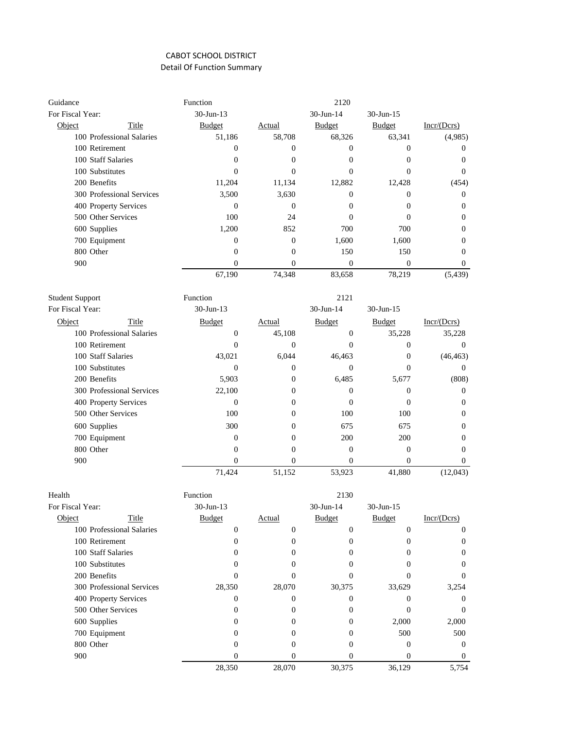| Guidance               |                           | Function         |                  | 2120             |                  |                  |
|------------------------|---------------------------|------------------|------------------|------------------|------------------|------------------|
| For Fiscal Year:       |                           | 30-Jun-13        |                  | 30-Jun-14        | 30-Jun-15        |                  |
| Object                 | Title                     | <b>Budget</b>    | <b>Actual</b>    | <b>Budget</b>    | <b>Budget</b>    | Incr/(Dcrs)      |
|                        | 100 Professional Salaries | 51,186           | 58,708           | 68,326           | 63,341           | (4,985)          |
|                        | 100 Retirement            | $\boldsymbol{0}$ | $\boldsymbol{0}$ | $\boldsymbol{0}$ | 0                | $\boldsymbol{0}$ |
|                        | 100 Staff Salaries        | $\boldsymbol{0}$ | $\overline{0}$   | $\theta$         | $\boldsymbol{0}$ | $\boldsymbol{0}$ |
|                        | 100 Substitutes           | $\mathbf{0}$     | $\overline{0}$   | $\theta$         | $\overline{0}$   | $\mathbf{0}$     |
|                        | 200 Benefits              | 11,204           | 11,134           | 12,882           | 12,428           | (454)            |
|                        | 300 Professional Services | 3,500            | 3.630            | $\theta$         | $\mathbf{0}$     | $\mathbf{0}$     |
|                        | 400 Property Services     | $\mathbf{0}$     | $\overline{0}$   | $\Omega$         | $\mathbf{0}$     | $\overline{0}$   |
|                        | 500 Other Services        | 100              | 24               | $\theta$         | $\Omega$         | $\Omega$         |
|                        | 600 Supplies              | 1,200            | 852              | 700              | 700              | $\overline{0}$   |
|                        | 700 Equipment             | $\mathbf{0}$     | $\overline{0}$   | 1,600            | 1,600            | $\mathbf{0}$     |
|                        | 800 Other                 | $\mathbf{0}$     | $\Omega$         | 150              | 150              | $\mathbf{0}$     |
| 900                    |                           | $\mathbf{0}$     | $\overline{0}$   | $\overline{0}$   | $\overline{0}$   | $\mathbf{0}$     |
|                        |                           | 67,190           | 74,348           | 83,658           | 78,219           | (5,439)          |
| <b>Student Support</b> |                           | Function         |                  | 2121             |                  |                  |
| For Fiscal Year:       |                           | 30-Jun-13        |                  | 30-Jun-14        | 30-Jun-15        |                  |
| Object                 | Title                     | <b>Budget</b>    | Actual           | <b>Budget</b>    | <b>Budget</b>    | Incr/(Dcrs)      |
|                        | 100 Professional Salaries | $\mathbf{0}$     | 45,108           | $\mathbf{0}$     | 35,228           | 35,228           |
|                        | 100 Retirement            | $\mathbf{0}$     | $\overline{0}$   | $\theta$         | $\mathbf{0}$     | $\mathbf{0}$     |
|                        | 100 Staff Salaries        | 43,021           | 6,044            | 46,463           | $\overline{0}$   | (46, 463)        |
|                        | 100 Substitutes           | $\mathbf{0}$     | $\Omega$         | $\theta$         | $\Omega$         | $\mathbf{0}$     |
|                        | 200 Benefits              | 5,903            | $\mathbf{0}$     | 6,485            | 5,677            | (808)            |
|                        | 300 Professional Services | 22,100           | $\mathbf{0}$     | $\theta$         | $\boldsymbol{0}$ | $\mathbf{0}$     |
|                        | 400 Property Services     | $\boldsymbol{0}$ | $\mathbf{0}$     | $\theta$         | $\mathbf{0}$     | $\mathbf{0}$     |
|                        | 500 Other Services        | 100              | $\mathbf{0}$     | 100              | 100              | $\boldsymbol{0}$ |
|                        | 600 Supplies              | 300              | $\overline{0}$   | 675              | 675              | $\overline{0}$   |
|                        | 700 Equipment             | $\mathbf{0}$     | $\mathbf{0}$     | 200              | 200              | $\overline{0}$   |
|                        | 800 Other                 | $\mathbf{0}$     | $\overline{0}$   | $\overline{0}$   | $\mathbf{0}$     | $\overline{0}$   |
| 900                    |                           | $\mathbf{0}$     | $\overline{0}$   | $\overline{0}$   | $\theta$         | $\mathbf{0}$     |
|                        |                           | 71,424           | 51,152           | 53,923           | 41,880           | (12,043)         |
| Health                 |                           | Function         |                  | 2130             |                  |                  |
| For Fiscal Year:       |                           | 30-Jun-13        |                  | 30-Jun-14        | 30-Jun-15        |                  |
| Object                 | Title                     | <b>Budget</b>    | <b>Actual</b>    | <b>Budget</b>    | Budget           | Incr/(Dcrs)      |
|                        | 100 Professional Salaries | $\boldsymbol{0}$ | $\boldsymbol{0}$ | $\boldsymbol{0}$ | $\boldsymbol{0}$ | $\boldsymbol{0}$ |
|                        | 100 Retirement            | 0                | $\boldsymbol{0}$ | $\boldsymbol{0}$ | 0                | $\mathbf{0}$     |
|                        | 100 Staff Salaries        | $\mathbf{0}$     | $\mathbf{0}$     | $\boldsymbol{0}$ | 0                | $\mathbf{0}$     |
|                        | 100 Substitutes           | $\mathbf{0}$     | 0                | $\overline{0}$   | 0                | $\mathbf{0}$     |
|                        | 200 Benefits              | $\mathbf{0}$     | $\overline{0}$   | $\mathbf{0}$     | $\mathbf{0}$     | 0                |
|                        | 300 Professional Services | 28,350           | 28,070           | 30,375           | 33,629           | 3,254            |
|                        | 400 Property Services     | 0                | $\mathbf{0}$     | $\mathbf{0}$     | 0                | $\overline{0}$   |
|                        | 500 Other Services        | $\mathbf{0}$     | $\mathbf{0}$     | $\overline{0}$   | $\mathbf{0}$     | $\mathbf{0}$     |
|                        | 600 Supplies              | $\boldsymbol{0}$ | $\boldsymbol{0}$ | $\boldsymbol{0}$ | 2,000            | 2,000            |
|                        | 700 Equipment             | $\boldsymbol{0}$ | $\boldsymbol{0}$ | $\boldsymbol{0}$ | 500              | 500              |

800 Other 0 0 0 00 900 0 0 0 0 0

28,350 28,070 30,375 36,129 5,754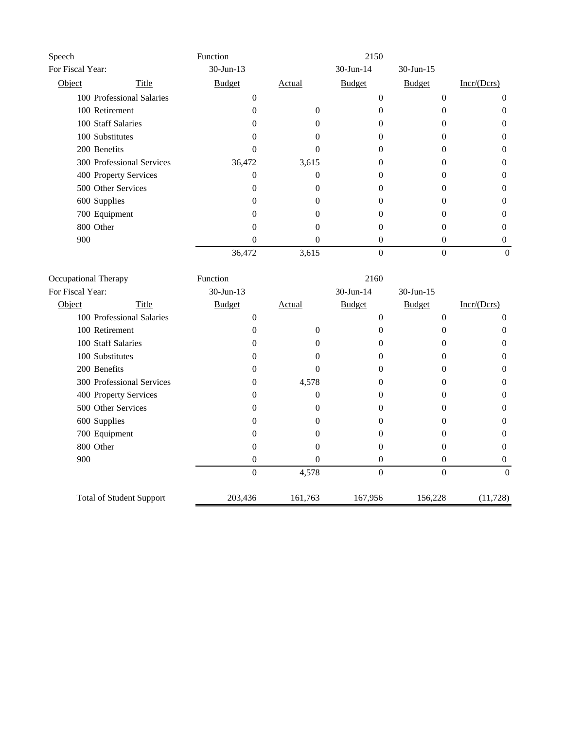| Speech           |                           | Function      |        | 2150          |               |             |
|------------------|---------------------------|---------------|--------|---------------|---------------|-------------|
| For Fiscal Year: |                           | 30-Jun-13     |        | 30-Jun-14     | $30$ -Jun-15  |             |
| Object           | Title                     | <b>Budget</b> | Actual | <b>Budget</b> | <b>Budget</b> | Incr/(Dcrs) |
|                  | 100 Professional Salaries | 0             |        |               | 0             |             |
|                  | 100 Retirement            |               | 0      |               |               | 0           |
|                  | 100 Staff Salaries        |               |        |               |               | 0           |
|                  | 100 Substitutes           |               |        |               |               |             |
| 200 Benefits     |                           |               |        |               |               | 0           |
|                  | 300 Professional Services | 36,472        | 3,615  |               |               | 0           |
|                  | 400 Property Services     | 0             |        |               |               |             |
|                  | 500 Other Services        |               |        |               |               | 0           |
| 600 Supplies     |                           | 0             |        |               |               | 0           |
|                  | 700 Equipment             |               |        |               |               |             |
| 800 Other        |                           | 0             |        |               |               | $\Omega$    |
| 900              |                           |               |        |               | 0             | 0           |
|                  |                           | 36,472        | 3,615  |               |               |             |

| Occupational Therapy            | Function      | 2160     |                |               |             |
|---------------------------------|---------------|----------|----------------|---------------|-------------|
| For Fiscal Year:                | $30$ -Jun-13  |          | 30-Jun-14      | 30-Jun-15     |             |
| Object<br>Title                 | <b>Budget</b> | Actual   | <b>Budget</b>  | <b>Budget</b> | Incr/(Dcrs) |
| 100 Professional Salaries       | 0             |          |                | 0             | $\theta$    |
| 100 Retirement                  |               |          |                |               | 0           |
| 100 Staff Salaries              |               |          |                |               | $\Omega$    |
| 100 Substitutes                 |               |          |                |               | $\Omega$    |
| 200 Benefits                    |               |          | 0              |               | $\Omega$    |
| 300 Professional Services       | 0             | 4,578    | 0              |               | $\Omega$    |
| 400 Property Services           |               |          |                |               | $\Omega$    |
| 500 Other Services              |               |          |                |               | $\Omega$    |
| 600 Supplies                    |               |          |                |               | 0           |
| 700 Equipment                   |               |          |                |               | 0           |
| 800 Other                       |               |          |                |               | 0           |
| 900                             | 0             | $\theta$ | 0              | 0             | $\Omega$    |
|                                 | $\theta$      | 4,578    | $\overline{0}$ | $\theta$      | $\theta$    |
| <b>Total of Student Support</b> | 203,436       | 161,763  | 167,956        | 156,228       | (11, 728)   |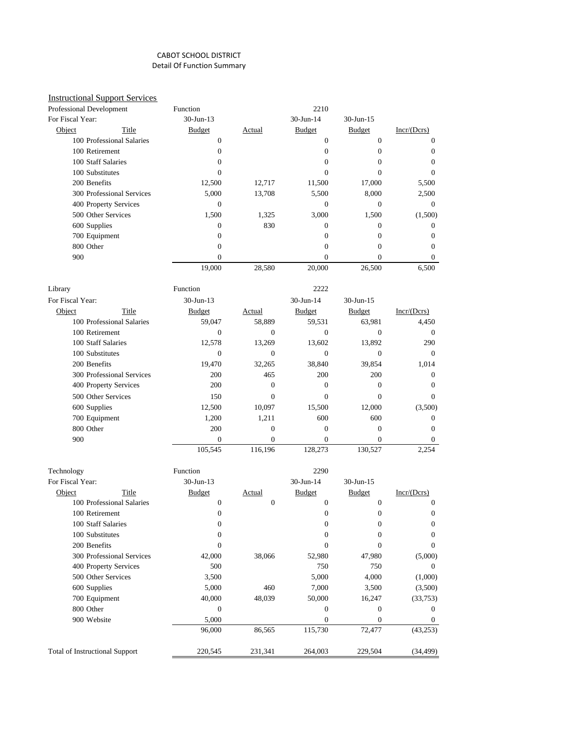# Instructional Support Services

|                  | Professional Development  | Function        |              | 2210          |                 |                |
|------------------|---------------------------|-----------------|--------------|---------------|-----------------|----------------|
| For Fiscal Year: |                           | 30-Jun-13       |              | 30-Jun-14     | 30-Jun-15       |                |
| Object           | Title                     | <b>Budget</b>   | Actual       | Budget        | <b>Budget</b>   | Incr/(Dcrs)    |
|                  | 100 Professional Salaries | $\mathbf{0}$    |              | $\theta$      | $\mathbf{0}$    | $\Omega$       |
|                  | 100 Retirement            | $\mathbf{0}$    |              | $\mathbf{0}$  | $\mathbf{0}$    | $\mathbf{0}$   |
|                  | 100 Staff Salaries        | $\mathbf{0}$    |              | $\Omega$      | $\Omega$        | $\mathbf{0}$   |
|                  | 100 Substitutes           | $\Omega$        |              | $\theta$      | $\theta$        | $\theta$       |
|                  | 200 Benefits              | 12,500          | 12,717       | 11,500        | 17,000          | 5,500          |
|                  | 300 Professional Services | 5,000           | 13,708       | 5,500         | 8,000           | 2,500          |
|                  | 400 Property Services     | $\Omega$        |              | $\Omega$      | $\Omega$        | $\Omega$       |
|                  | 500 Other Services        | 1,500           | 1,325        | 3,000         | 1,500           | (1,500)        |
|                  | 600 Supplies              | $\Omega$        | 830          | $\Omega$      | $\Omega$        | $\overline{0}$ |
|                  | 700 Equipment             | $\mathbf{0}$    |              | $\mathbf{0}$  | $\overline{0}$  | $\mathbf{0}$   |
|                  | 800 Other                 | $\mathbf{0}$    |              | $\mathbf{0}$  | $\overline{0}$  | $\mathbf{0}$   |
|                  | 900                       | $\Omega$        |              | $\Omega$      | $\Omega$        | $\Omega$       |
|                  |                           | 19,000          | 28,580       | 20,000        | 26,500          | 6,500          |
|                  |                           |                 |              |               |                 |                |
| Library          |                           | Function        |              | 2222          |                 |                |
| For Fiscal Year: |                           | $30 - Jun - 13$ |              | 30-Jun-14     | $30 - Jun - 15$ |                |
| Object           | Title                     | <b>Budget</b>   | Actual       | <b>Budget</b> | <b>Budget</b>   | Incr/(Dcrs)    |
|                  | 100 Professional Salaries | 59,047          | 58,889       | 59,531        | 63,981          | 4,450          |
|                  | 100 Retirement            | $\mathbf{0}$    | $\mathbf{0}$ | $\theta$      | $\Omega$        | $\mathbf{0}$   |
|                  | 100 Staff Salaries        | 12,578          | 13.269       | 13,602        | 13,892          | 290            |
|                  | 100 Substitutes           | $\theta$        | $\theta$     | $\theta$      | $\theta$        | $\Omega$       |
|                  | 200 Benefits              | 19,470          | 32,265       | 38,840        | 39,854          | 1,014          |
|                  | 300 Professional Services | 200             | 465          | 200           | 200             | $\Omega$       |
|                  | 400 Property Services     | 200             | $\Omega$     | $\Omega$      | $\Omega$        | $\Omega$       |
|                  | 500 Other Services        | 150             | $\Omega$     | $\theta$      | $\Omega$        | $\Omega$       |
|                  | 600 Supplies              | 12,500          | 10,097       | 15,500        | 12,000          | (3,500)        |
|                  | 700 Equipment             | 1,200           | 1,211        | 600           | 600             | $\mathbf{0}$   |
|                  | 800 Other                 | 200             | $\mathbf{0}$ | $\mathbf{0}$  | $\mathbf{0}$    | $\Omega$       |
|                  | 900                       | $\theta$        | $\Omega$     | $\theta$      | $\Omega$        | $\overline{0}$ |

| Technology                            |                           | Function      |         | 2290          |               |             |
|---------------------------------------|---------------------------|---------------|---------|---------------|---------------|-------------|
| For Fiscal Year:                      |                           | $30$ -Jun-13  |         | $30$ -Jun-14  | $30$ -Jun-15  |             |
| Object                                | Title                     | <b>Budget</b> | Actual  | <b>Budget</b> | <b>Budget</b> | Incr/(Dcrs) |
|                                       | 100 Professional Salaries | 0             | 0       | $\Omega$      | $\Omega$      | 0           |
| 100 Retirement                        |                           | 0             |         | $\theta$      | 0             | 0           |
|                                       | 100 Staff Salaries        | 0             |         | $\Omega$      | 0             | $\Omega$    |
| 100 Substitutes                       |                           | 0             |         | $\Omega$      | 0             | $\Omega$    |
| 200 Benefits                          |                           |               |         | $\Omega$      |               | 0           |
|                                       | 300 Professional Services | 42,000        | 38,066  | 52,980        | 47,980        | (5,000)     |
|                                       | 400 Property Services     | 500           |         | 750           | 750           | $\Omega$    |
|                                       | 500 Other Services        | 3,500         |         | 5,000         | 4,000         | (1,000)     |
| 600 Supplies                          |                           | 5,000         | 460     | 7,000         | 3,500         | (3,500)     |
| 700 Equipment                         |                           | 40,000        | 48,039  | 50,000        | 16,247        | (33,753)    |
| 800 Other                             |                           | $\Omega$      |         | $\theta$      | 0             | $\Omega$    |
| 900 Website                           |                           | 5,000         |         | $\theta$      | $\Omega$      | $\Omega$    |
|                                       |                           | 96,000        | 86,565  | 115,730       | 72,477        | (43, 253)   |
| <b>Total of Instructional Support</b> |                           | 220,545       | 231,341 | 264,003       | 229,504       | (34,499)    |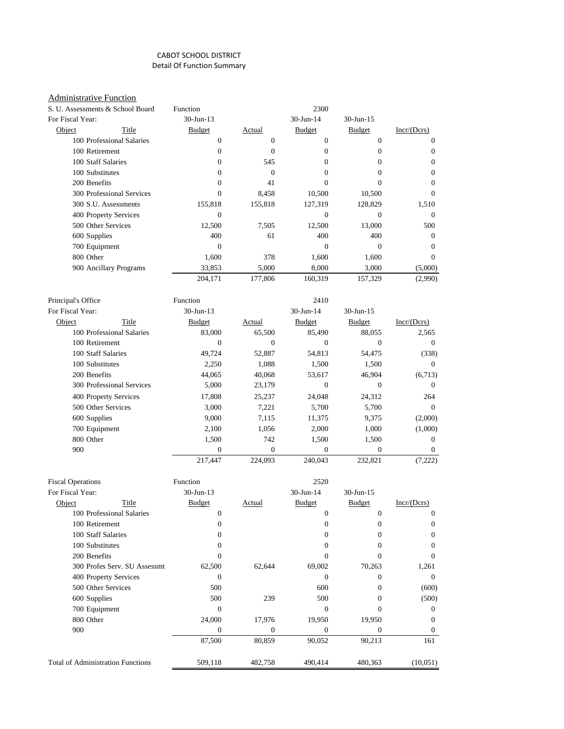#### **Administrative Function**

|                    | S. U. Assessments & School Board | Function       |                | 2300          |                |                  |
|--------------------|----------------------------------|----------------|----------------|---------------|----------------|------------------|
| For Fiscal Year:   |                                  | 30-Jun-13      |                | 30-Jun-14     | 30-Jun-15      |                  |
| Object             | Title                            | <b>Budget</b>  | Actual         | <b>Budget</b> | <b>Budget</b>  | Incr/(Dcrs)      |
|                    | 100 Professional Salaries        | $\mathbf{0}$   | $\overline{0}$ | $\mathbf{0}$  | $\overline{0}$ | $\mathbf{0}$     |
|                    | 100 Retirement                   | $\overline{0}$ | $\Omega$       | $\mathbf{0}$  | $\mathbf{0}$   | $\mathbf{0}$     |
|                    | 100 Staff Salaries               | 0              | 545            | $\mathbf{0}$  | $\mathbf{0}$   | $\boldsymbol{0}$ |
|                    | 100 Substitutes                  | $\Omega$       | $\Omega$       | $\Omega$      | $\Omega$       | $\Omega$         |
| 200 Benefits       |                                  | $\Omega$       | 41             | $\theta$      | $\Omega$       | $\mathbf{0}$     |
|                    | 300 Professional Services        | $\theta$       | 8,458          | 10,500        | 10,500         | $\Omega$         |
|                    | 300 S.U. Assessments             | 155,818        | 155,818        | 127,319       | 128,829        | 1,510            |
|                    | 400 Property Services            | $\Omega$       |                | $\Omega$      | $\Omega$       | $\Omega$         |
|                    | 500 Other Services               | 12,500         | 7,505          | 12,500        | 13,000         | 500              |
| 600 Supplies       |                                  | 400            | 61             | 400           | 400            | $\mathbf{0}$     |
|                    | 700 Equipment                    | $\theta$       |                | $\Omega$      | $\Omega$       | $\mathbf{0}$     |
| 800 Other          |                                  | 1,600          | 378            | 1,600         | 1,600          | $\mathbf{0}$     |
|                    | 900 Ancillary Programs           | 33,853         | 5,000          | 8,000         | 3,000          | (5,000)          |
|                    |                                  | 204,171        | 177,806        | 160,319       | 157,329        | (2,990)          |
| Principal's Office |                                  | Function       |                | 2410          |                |                  |
| For Fiscal Year:   |                                  | $30-Jun-13$    |                | 30-Jun-14     | 30-Jun-15      |                  |
| Object             | Title                            | <b>Budget</b>  | Actual         | <b>Budget</b> | <b>Budget</b>  | Incr/(Dcrs)      |
|                    | 100 Professional Salaries        | 83,000         | 65,500         | 85,490        | 88,055         | 2,565            |
|                    | 100 Retirement                   | $\mathbf{0}$   | $\overline{0}$ | $\mathbf{0}$  | $\mathbf{0}$   | $\mathbf{0}$     |
|                    | 100 Staff Salaries               | 49,724         | 52,887         | 54,813        | 54,475         | (338)            |
|                    | 100 Substitutes                  | 2,250          | 1,088          | 1,500         | 1,500          | $\mathbf{0}$     |
| 200 Benefits       |                                  | 44,065         | 40,068         | 53,617        | 46,904         | (6,713)          |
|                    | 300 Professional Services        | 5,000          | 23,179         | $\mathbf{0}$  | $\mathbf{0}$   | $\Omega$         |
|                    | 400 Property Services            | 17,808         | 25,237         | 24,048        | 24,312         | 264              |
|                    | 500 Other Services               | 3,000          | 7,221          | 5,700         | 5,700          | $\Omega$         |
| 600 Supplies       |                                  | 9,000          | 7,115          | 11,375        | 9,375          | (2,000)          |
|                    | 700 Equipment                    | 2,100          | 1,056          | 2,000         | 1,000          | (1,000)          |
| 800 Other          |                                  | 1,500          | 742            | 1,500         | 1,500          | $\mathbf{0}$     |
| 900                |                                  | $\overline{0}$ | $\mathbf{0}$   | $\mathbf{0}$  | $\overline{0}$ | $\mathbf{0}$     |
|                    |                                  | 217,447        | 224,093        | 240.043       | 232.821        | (7,222)          |

| <b>Fiscal Operations</b>                 |                              | Function      |         | 2520          |               |             |
|------------------------------------------|------------------------------|---------------|---------|---------------|---------------|-------------|
| For Fiscal Year:                         |                              | $30$ -Jun-13  |         | 30-Jun-14     | $30$ -Jun-15  |             |
| Object                                   | Title                        | <b>Budget</b> | Actual  | <b>Budget</b> | <b>Budget</b> | Incr/(Dcrs) |
|                                          | 100 Professional Salaries    | $\Omega$      |         | 0             | $\Omega$      | $\Omega$    |
| 100 Retirement                           |                              | $\Omega$      |         |               | $\Omega$      | $\Omega$    |
| 100 Staff Salaries                       |                              | $\Omega$      |         | 0             |               | $\theta$    |
| 100 Substitutes                          |                              | $\Omega$      |         | $\Omega$      | $\Omega$      | $\theta$    |
| 200 Benefits                             |                              |               |         | 0             |               | $\Omega$    |
|                                          | 300 Profes Serv. SU Assessmt | 62,500        | 62,644  | 69,002        | 70,263        | 1,261       |
|                                          | 400 Property Services        | $\Omega$      |         | $\theta$      | $\Omega$      | $\Omega$    |
|                                          | 500 Other Services           | 500           |         | 600           | $\Omega$      | (600)       |
| 600 Supplies                             |                              | 500           | 239     | 500           | 0             | (500)       |
| 700 Equipment                            |                              | $\Omega$      |         | 0             |               | $\Omega$    |
| 800 Other                                |                              | 24,000        | 17,976  | 19,950        | 19,950        | $\Omega$    |
| 900                                      |                              | $\Omega$      | 0       | $\Omega$      | $\Omega$      | $\Omega$    |
|                                          |                              | 87,500        | 80,859  | 90,052        | 90,213        | 161         |
| <b>Total of Administration Functions</b> |                              | 509,118       | 482,758 | 490,414       | 480,363       | (10,051)    |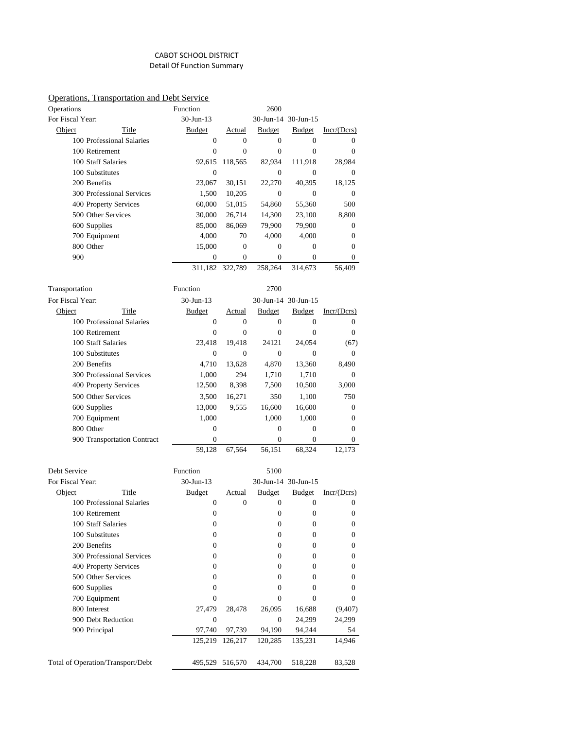#### Operations, Transportation and Debt Service

| Operations         |                             | Function         |                  | 2600             |                            |                        |
|--------------------|-----------------------------|------------------|------------------|------------------|----------------------------|------------------------|
| For Fiscal Year:   |                             | 30-Jun-13        |                  |                  | 30-Jun-14 30-Jun-15        |                        |
| Object             | Title                       | <b>Budget</b>    | Actual           | <b>Budget</b>    | <b>Budget</b>              | Incr/ (Dcrs)           |
|                    | 100 Professional Salaries   | $\boldsymbol{0}$ | $\mathbf{0}$     | $\overline{0}$   | $\boldsymbol{0}$           | 0                      |
|                    | 100 Retirement              | $\overline{0}$   | $\mathbf{0}$     | $\mathbf{0}$     | $\mathbf{0}$               | $\mathbf{0}$           |
|                    | 100 Staff Salaries          | 92,615           | 118,565          | 82,934           | 111,918                    | 28,984                 |
|                    | 100 Substitutes             | $\mathbf{0}$     |                  | $\overline{0}$   | $\mathbf{0}$               | $\mathbf{0}$           |
|                    | 200 Benefits                | 23,067           | 30,151           | 22,270           | 40,395                     | 18,125                 |
|                    | 300 Professional Services   | 1,500            | 10,205           | $\mathbf{0}$     | $\boldsymbol{0}$           | $\mathbf{0}$           |
|                    | 400 Property Services       | 60,000           | 51,015           | 54,860           | 55,360                     | 500                    |
|                    | 500 Other Services          | 30,000           | 26,714           | 14,300           | 23,100                     | 8,800                  |
|                    | 600 Supplies                | 85,000           | 86,069           | 79,900           | 79,900                     | 0                      |
|                    | 700 Equipment               | 4,000            | 70               | 4,000            | 4,000                      | $\mathbf{0}$           |
|                    | 800 Other                   | 15,000           | $\boldsymbol{0}$ | $\mathbf{0}$     | $\mathbf{0}$               | $\mathbf{0}$           |
| 900                |                             | $\mathbf{0}$     | $\mathbf{0}$     | $\mathbf{0}$     | $\Omega$                   | 0                      |
|                    |                             |                  | 311,182 322,789  | 258,264          | 314,673                    | 56,409                 |
| Transportation     |                             | Function         |                  | 2700             |                            |                        |
| For Fiscal Year:   |                             | 30-Jun-13        |                  |                  | 30-Jun-14 30-Jun-15        |                        |
| Object             | Title                       | <b>Budget</b>    | Actual           | <b>Budget</b>    | <b>Budget</b>              | $Incr/(\mathbf{Dcrs})$ |
|                    | 100 Professional Salaries   | $\boldsymbol{0}$ | $\overline{0}$   | $\mathbf{0}$     | $\boldsymbol{0}$           | 0                      |
|                    | 100 Retirement              | $\mathbf{0}$     | $\overline{0}$   | $\overline{0}$   | $\mathbf{0}$               | $\mathbf{0}$           |
| 100 Staff Salaries |                             | 23.418           | 19,418           | 24121            | 24,054                     | (67)                   |
|                    | 100 Substitutes             | $\mathbf{0}$     | $\mathbf{0}$     | $\mathbf{0}$     | $\mathbf{0}$               | 0                      |
|                    | 200 Benefits                | 4,710            | 13,628           | 4,870            | 13,360                     | 8.490                  |
|                    | 300 Professional Services   | 1,000            | 294              | 1,710            | 1,710                      | 0                      |
|                    | 400 Property Services       | 12,500           | 8,398            | 7,500            | 10,500                     | 3,000                  |
|                    | 500 Other Services          | 3,500            | 16,271           | 350              | 1,100                      | 750                    |
|                    | 600 Supplies                | 13,000           | 9,555            | 16,600           | 16,600                     | 0                      |
|                    | 700 Equipment               | 1,000            |                  | 1,000            | 1,000                      | $\mathbf{0}$           |
|                    | 800 Other                   | 0                |                  | 0                | $\boldsymbol{0}$           | $\mathbf{0}$           |
|                    | 900 Transportation Contract | $\mathbf{0}$     |                  | $\mathbf{0}$     | $\mathbf{0}$               | $\mathbf{0}$           |
|                    |                             | 59,128           | 67,564           | 56,151           | 68,324                     | 12,173                 |
| Debt Service       |                             | Function         |                  | 5100             |                            |                        |
| For Fiscal Year:   |                             | 30-Jun-13        |                  |                  | 30-Jun-14 30-Jun-15        |                        |
| Object             | Title                       | <b>Budget</b>    | <b>Actual</b>    | <b>Budget</b>    | <b>Budget</b>              | Incr/(Dcrs)            |
|                    | 100 Professional Salaries   | 0                | $\mathbf{0}$     | $\mathbf{0}$     | $\boldsymbol{0}$           | 0                      |
|                    | 100 Retirement              | 0                |                  | $\boldsymbol{0}$ | 0                          | 0                      |
|                    | 100 Staff Salaries          | 0                |                  | $\boldsymbol{0}$ | $\boldsymbol{0}$           | $\boldsymbol{0}$       |
|                    | 100 Substitutes             | 0                |                  | 0                | $\boldsymbol{0}$           | 0                      |
|                    | 200 Benefits                | 0                |                  | 0                | 0                          | $\mathbf{0}$           |
|                    | 300 Professional Services   | 0                |                  | $\mathbf{0}$     | $\boldsymbol{0}$           | $\boldsymbol{0}$       |
|                    | 400 Property Services       | 0                |                  | 0                | $\boldsymbol{0}$           |                        |
|                    | 500 Other Services          | 0                |                  | 0                | 0                          | 0<br>$\mathbf{0}$      |
|                    | 600 Supplies                | 0                |                  | 0                | 0                          | 0                      |
|                    | 700 Equipment               | $\boldsymbol{0}$ |                  | $\boldsymbol{0}$ |                            | 0                      |
|                    |                             |                  |                  | 26,095           | $\boldsymbol{0}$<br>16,688 |                        |
|                    | 800 Interest                | 27,479           | 28,478           |                  |                            | (9, 407)               |

900 Debt Reduction 0 0 24,299 24,299 900 Principal 97,740 97,739 94,190 94,244 54

Total of Operation/Transport/Debt 495,529 516,570 434,700 518,228 83,528

125,219 126,217 120,285 135,231 14,946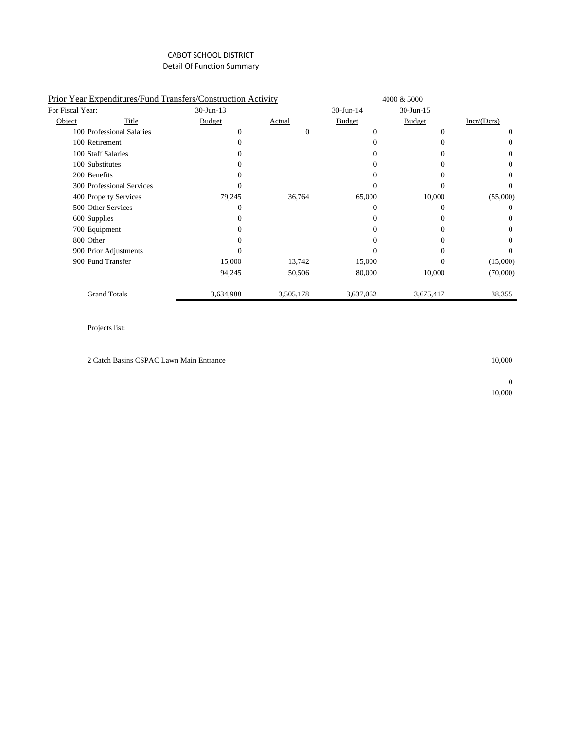|                  | Prior Year Expenditures/Fund Transfers/Construction Activity |               |           |               | 4000 & 5000   |             |
|------------------|--------------------------------------------------------------|---------------|-----------|---------------|---------------|-------------|
| For Fiscal Year: |                                                              | $30$ -Jun-13  |           | $30$ -Jun-14  | $30$ -Jun-15  |             |
| Object           | Title                                                        | <b>Budget</b> | Actual    | <b>Budget</b> | <b>Budget</b> | Incr/(Dcrs) |
|                  | 100 Professional Salaries                                    | $\Omega$      | $\Omega$  |               | $\Omega$      | $\Omega$    |
|                  | 100 Retirement                                               | 0             |           |               |               | $_{0}$      |
|                  | 100 Staff Salaries                                           |               |           |               |               | $\Omega$    |
|                  | 100 Substitutes                                              |               |           |               |               | $\Omega$    |
|                  | 200 Benefits                                                 | 0             |           |               |               | 0           |
|                  | 300 Professional Services                                    | $\Omega$      |           |               |               | 0           |
|                  | 400 Property Services                                        | 79,245        | 36,764    | 65,000        | 10,000        | (55,000)    |
|                  | 500 Other Services                                           | $\theta$      |           |               |               | 0           |
|                  | 600 Supplies                                                 | $\Omega$      |           |               |               | $\Omega$    |
|                  | 700 Equipment                                                | 0             |           |               |               | $\Omega$    |
|                  | 800 Other                                                    | $\Omega$      |           |               |               | $\Omega$    |
|                  | 900 Prior Adjustments                                        |               |           |               |               | $_{0}$      |
|                  | 900 Fund Transfer                                            | 15,000        | 13,742    | 15,000        | $\Omega$      | (15,000)    |
|                  |                                                              | 94,245        | 50,506    | 80,000        | 10,000        | (70,000)    |
|                  | <b>Grand Totals</b>                                          | 3,634,988     | 3,505,178 | 3,637,062     | 3,675,417     | 38,355      |

Projects list:

2 Catch Basins CSPAC Lawn Main Entrance 10,000

 $\boldsymbol{0}$ 10,000